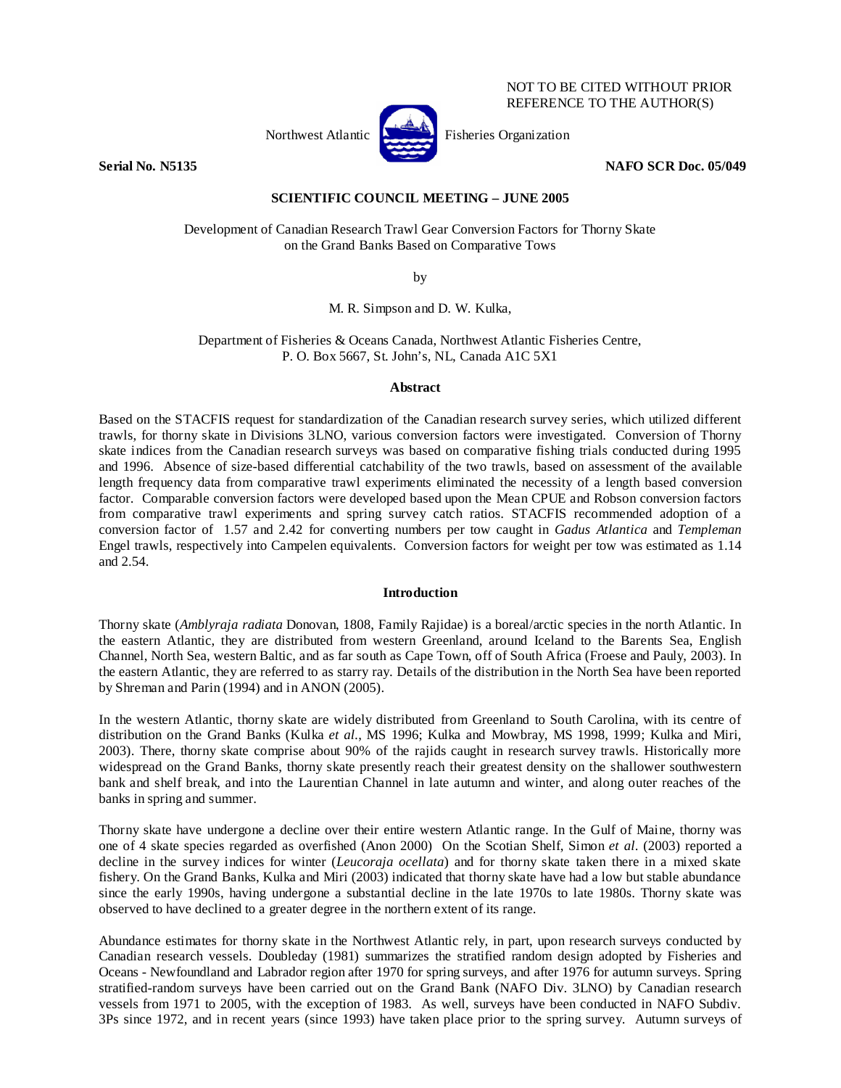

NOT TO BE CITED WITHOUT PRIOR REFERENCE TO THE AUTHOR(S)

**Serial No. N5135 NAFO SCR Doc. 05/049** 

# **SCIENTIFIC COUNCIL MEETING – JUNE 2005**

Development of Canadian Research Trawl Gear Conversion Factors for Thorny Skate on the Grand Banks Based on Comparative Tows

by

M. R. Simpson and D. W. Kulka,

Department of Fisheries & Oceans Canada, Northwest Atlantic Fisheries Centre, P. O. Box 5667, St. John's, NL, Canada A1C 5X1

## **Abstract**

Based on the STACFIS request for standardization of the Canadian research survey series, which utilized different trawls, for thorny skate in Divisions 3LNO, various conversion factors were investigated. Conversion of Thorny skate indices from the Canadian research surveys was based on comparative fishing trials conducted during 1995 and 1996. Absence of size-based differential catchability of the two trawls, based on assessment of the available length frequency data from comparative trawl experiments eliminated the necessity of a length based conversion factor. Comparable conversion factors were developed based upon the Mean CPUE and Robson conversion factors from comparative trawl experiments and spring survey catch ratios. STACFIS recommended adoption of a conversion factor of 1.57 and 2.42 for converting numbers per tow caught in *Gadus Atlantica* and *Templeman* Engel trawls, respectively into Campelen equivalents. Conversion factors for weight per tow was estimated as 1.14 and 2.54.

# **Introduction**

Thorny skate (*Amblyraja radiata* Donovan, 1808, Family Rajidae) is a boreal/arctic species in the north Atlantic. In the eastern Atlantic, they are distributed from western Greenland, around Iceland to the Barents Sea, English Channel, North Sea, western Baltic, and as far south as Cape Town, off of South Africa (Froese and Pauly, 2003). In the eastern Atlantic, they are referred to as starry ray. Details of the distribution in the North Sea have been reported by Shreman and Parin (1994) and in ANON (2005).

In the western Atlantic, thorny skate are widely distributed from Greenland to South Carolina, with its centre of distribution on the Grand Banks (Kulka *et al.*, MS 1996; Kulka and Mowbray, MS 1998, 1999; Kulka and Miri, 2003). There, thorny skate comprise about 90% of the rajids caught in research survey trawls. Historically more widespread on the Grand Banks, thorny skate presently reach their greatest density on the shallower southwestern bank and shelf break, and into the Laurentian Channel in late autumn and winter, and along outer reaches of the banks in spring and summer.

Thorny skate have undergone a decline over their entire western Atlantic range. In the Gulf of Maine, thorny was one of 4 skate species regarded as overfished (Anon 2000) On the Scotian Shelf, Simon *et al*. (2003) reported a decline in the survey indices for winter (*Leucoraja ocellata*) and for thorny skate taken there in a mixed skate fishery. On the Grand Banks, Kulka and Miri (2003) indicated that thorny skate have had a low but stable abundance since the early 1990s, having undergone a substantial decline in the late 1970s to late 1980s. Thorny skate was observed to have declined to a greater degree in the northern extent of its range.

Abundance estimates for thorny skate in the Northwest Atlantic rely, in part, upon research surveys conducted by Canadian research vessels. Doubleday (1981) summarizes the stratified random design adopted by Fisheries and Oceans - Newfoundland and Labrador region after 1970 for spring surveys, and after 1976 for autumn surveys. Spring stratified-random surveys have been carried out on the Grand Bank (NAFO Div. 3LNO) by Canadian research vessels from 1971 to 2005, with the exception of 1983. As well, surveys have been conducted in NAFO Subdiv. 3Ps since 1972, and in recent years (since 1993) have taken place prior to the spring survey. Autumn surveys of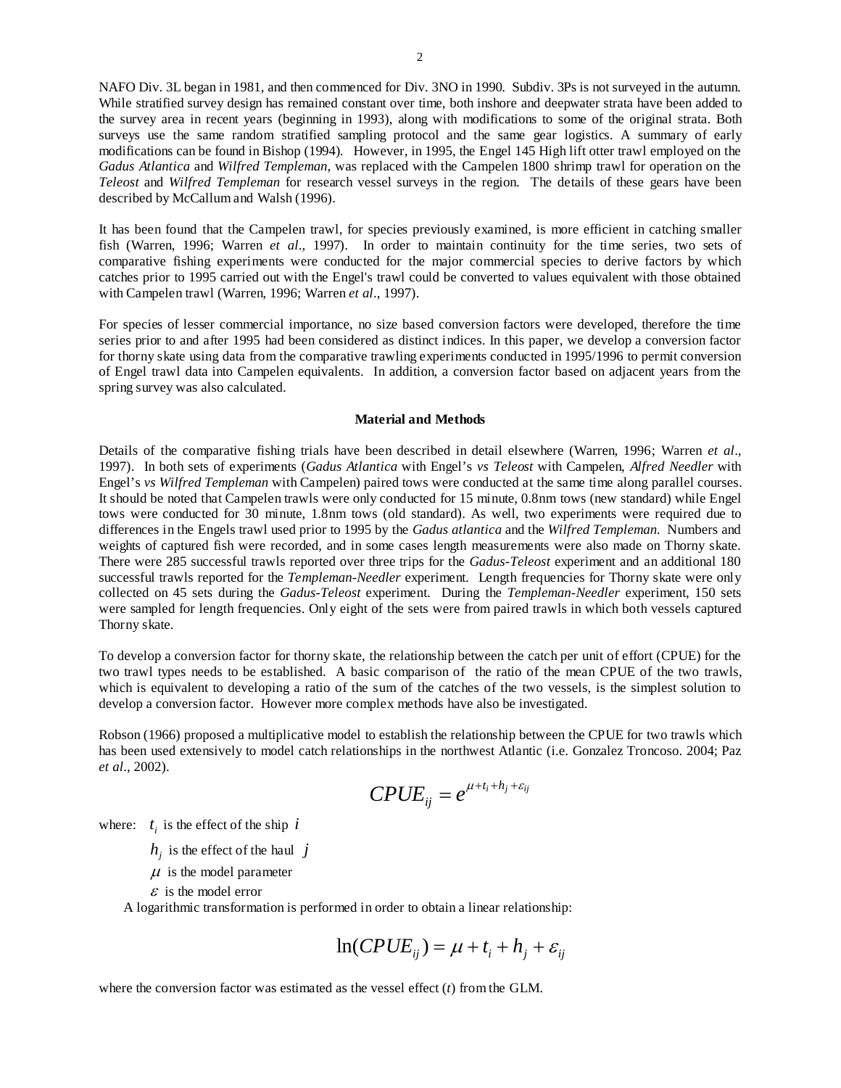NAFO Div. 3L began in 1981, and then commenced for Div. 3NO in 1990. Subdiv. 3Ps is not surveyed in the autumn. While stratified survey design has remained constant over time, both inshore and deepwater strata have been added to the survey area in recent years (beginning in 1993), along with modifications to some of the original strata. Both surveys use the same random stratified sampling protocol and the same gear logistics. A summary of early modifications can be found in Bishop (1994). However, in 1995, the Engel 145 High lift otter trawl employed on the *Gadus Atlantica* and *Wilfred Templeman*, was replaced with the Campelen 1800 shrimp trawl for operation on the *Teleost* and *Wilfred Templeman* for research vessel surveys in the region. The details of these gears have been described by McCallum and Walsh (1996).

It has been found that the Campelen trawl, for species previously examined, is more efficient in catching smaller fish (Warren, 1996; Warren *et al*., 1997). In order to maintain continuity for the time series, two sets of comparative fishing experiments were conducted for the major commercial species to derive factors by which catches prior to 1995 carried out with the Engel's trawl could be converted to values equivalent with those obtained with Campelen trawl (Warren, 1996; Warren *et al*., 1997).

For species of lesser commercial importance, no size based conversion factors were developed, therefore the time series prior to and after 1995 had been considered as distinct indices. In this paper, we develop a conversion factor for thorny skate using data from the comparative trawling experiments conducted in 1995/1996 to permit conversion of Engel trawl data into Campelen equivalents. In addition, a conversion factor based on adjacent years from the spring survey was also calculated.

#### **Material and Methods**

Details of the comparative fishing trials have been described in detail elsewhere (Warren, 1996; Warren *et al*., 1997). In both sets of experiments (*Gadus Atlantica* with Engel's *vs Teleost* with Campelen, *Alfred Needler* with Engel's *vs Wilfred Templeman* with Campelen) paired tows were conducted at the same time along parallel courses. It should be noted that Campelen trawls were only conducted for 15 minute, 0.8nm tows (new standard) while Engel tows were conducted for 30 minute, 1.8nm tows (old standard). As well, two experiments were required due to differences in the Engels trawl used prior to 1995 by the *Gadus atlantica* and the *Wilfred Templeman.* Numbers and weights of captured fish were recorded, and in some cases length measurements were also made on Thorny skate. There were 285 successful trawls reported over three trips for the *Gadus*-*Teleost* experiment and an additional 180 successful trawls reported for the *Templeman-Needler* experiment. Length frequencies for Thorny skate were only collected on 45 sets during the *Gadus-Teleost* experiment. During the *Templeman-Needler* experiment, 150 sets were sampled for length frequencies. Only eight of the sets were from paired trawls in which both vessels captured Thorny skate.

To develop a conversion factor for thorny skate, the relationship between the catch per unit of effort (CPUE) for the two trawl types needs to be established. A basic comparison of the ratio of the mean CPUE of the two trawls, which is equivalent to developing a ratio of the sum of the catches of the two vessels, is the simplest solution to develop a conversion factor. However more complex methods have also be investigated.

Robson (1966) proposed a multiplicative model to establish the relationship between the CPUE for two trawls which has been used extensively to model catch relationships in the northwest Atlantic (i.e. Gonzalez Troncoso. 2004; Paz *et al*., 2002).

$$
CPUE_{ij} = e^{\mu + t_i + h_j + \varepsilon_{ij}}
$$

where:  $t_i$  is the effect of the ship  $i$ 

 $h_i$  is the effect of the haul *j* 

 $\mu$  is the model parameter

 $\epsilon$  is the model error

A logarithmic transformation is performed in order to obtain a linear relationship:

$$
\ln(CPUE_{ij}) = \mu + t_i + h_j + \varepsilon_{ij}
$$

where the conversion factor was estimated as the vessel effect (*t*) from the GLM.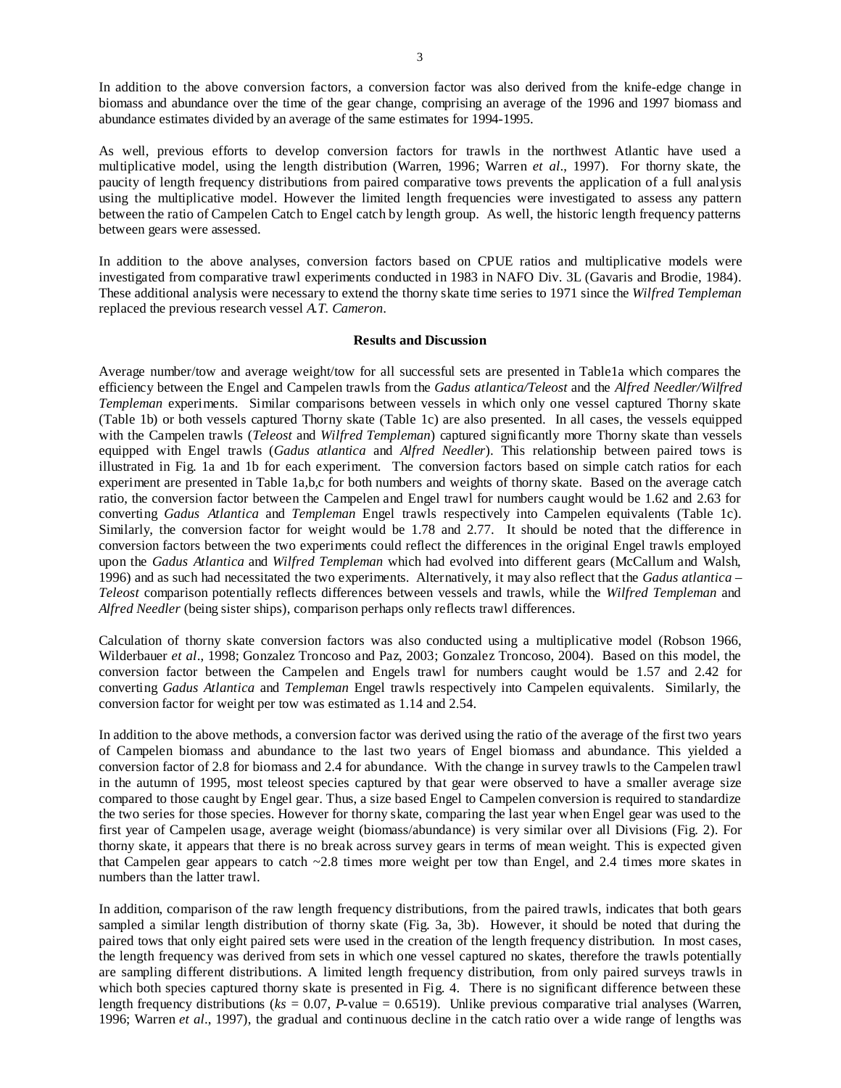In addition to the above conversion factors, a conversion factor was also derived from the knife-edge change in biomass and abundance over the time of the gear change, comprising an average of the 1996 and 1997 biomass and abundance estimates divided by an average of the same estimates for 1994-1995.

As well, previous efforts to develop conversion factors for trawls in the northwest Atlantic have used a multiplicative model, using the length distribution (Warren, 1996; Warren *et al*., 1997). For thorny skate, the paucity of length frequency distributions from paired comparative tows prevents the application of a full analysis using the multiplicative model. However the limited length frequencies were investigated to assess any pattern between the ratio of Campelen Catch to Engel catch by length group. As well, the historic length frequency patterns between gears were assessed.

In addition to the above analyses, conversion factors based on CPUE ratios and multiplicative models were investigated from comparative trawl experiments conducted in 1983 in NAFO Div. 3L (Gavaris and Brodie, 1984). These additional analysis were necessary to extend the thorny skate time series to 1971 since the *Wilfred Templeman* replaced the previous research vessel *A.T. Cameron*.

#### **Results and Discussion**

Average number/tow and average weight/tow for all successful sets are presented in Table1a which compares the efficiency between the Engel and Campelen trawls from the *Gadus atlantica/Teleost* and the *Alfred Needler/Wilfred Templeman* experiments. Similar comparisons between vessels in which only one vessel captured Thorny skate (Table 1b) or both vessels captured Thorny skate (Table 1c) are also presented. In all cases, the vessels equipped with the Campelen trawls (*Teleost* and *Wilfred Templeman*) captured significantly more Thorny skate than vessels equipped with Engel trawls (*Gadus atlantica* and *Alfred Needler*). This relationship between paired tows is illustrated in Fig. 1a and 1b for each experiment. The conversion factors based on simple catch ratios for each experiment are presented in Table 1a,b,c for both numbers and weights of thorny skate. Based on the average catch ratio, the conversion factor between the Campelen and Engel trawl for numbers caught would be 1.62 and 2.63 for converting *Gadus Atlantica* and *Templeman* Engel trawls respectively into Campelen equivalents (Table 1c). Similarly, the conversion factor for weight would be 1.78 and 2.77. It should be noted that the difference in conversion factors between the two experiments could reflect the differences in the original Engel trawls employed upon the *Gadus Atlantica* and *Wilfred Templeman* which had evolved into different gears (McCallum and Walsh, 1996) and as such had necessitated the two experiments. Alternatively, it may also reflect that the *Gadus atlantica* – *Teleost* comparison potentially reflects differences between vessels and trawls, while the *Wilfred Templeman* and *Alfred Needler* (being sister ships), comparison perhaps only reflects trawl differences.

Calculation of thorny skate conversion factors was also conducted using a multiplicative model (Robson 1966, Wilderbauer *et al*., 1998; Gonzalez Troncoso and Paz, 2003; Gonzalez Troncoso, 2004). Based on this model, the conversion factor between the Campelen and Engels trawl for numbers caught would be 1.57 and 2.42 for converting *Gadus Atlantica* and *Templeman* Engel trawls respectively into Campelen equivalents. Similarly, the conversion factor for weight per tow was estimated as 1.14 and 2.54.

In addition to the above methods, a conversion factor was derived using the ratio of the average of the first two years of Campelen biomass and abundance to the last two years of Engel biomass and abundance. This yielded a conversion factor of 2.8 for biomass and 2.4 for abundance. With the change in survey trawls to the Campelen trawl in the autumn of 1995, most teleost species captured by that gear were observed to have a smaller average size compared to those caught by Engel gear. Thus, a size based Engel to Campelen conversion is required to standardize the two series for those species. However for thorny skate, comparing the last year when Engel gear was used to the first year of Campelen usage, average weight (biomass/abundance) is very similar over all Divisions (Fig. 2). For thorny skate, it appears that there is no break across survey gears in terms of mean weight. This is expected given that Campelen gear appears to catch ~2.8 times more weight per tow than Engel, and 2.4 times more skates in numbers than the latter trawl.

In addition, comparison of the raw length frequency distributions, from the paired trawls, indicates that both gears sampled a similar length distribution of thorny skate (Fig. 3a, 3b). However, it should be noted that during the paired tows that only eight paired sets were used in the creation of the length frequency distribution. In most cases, the length frequency was derived from sets in which one vessel captured no skates, therefore the trawls potentially are sampling different distributions. A limited length frequency distribution, from only paired surveys trawls in which both species captured thorny skate is presented in Fig. 4. There is no significant difference between these length frequency distributions ( $ks = 0.07$ , *P*-value = 0.6519). Unlike previous comparative trial analyses (Warren, 1996; Warren *et al*., 1997), the gradual and continuous decline in the catch ratio over a wide range of lengths was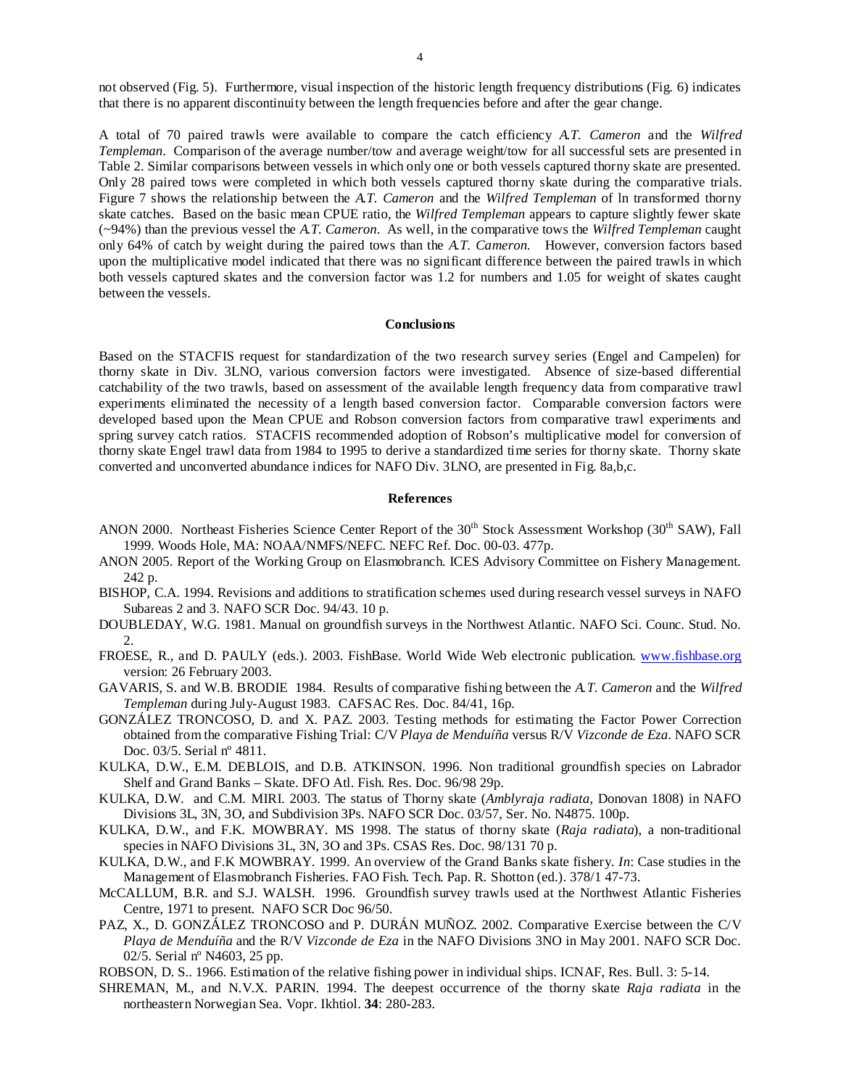not observed (Fig. 5). Furthermore, visual inspection of the historic length frequency distributions (Fig. 6) indicates that there is no apparent discontinuity between the length frequencies before and after the gear change.

A total of 70 paired trawls were available to compare the catch efficiency *A.T. Cameron* and the *Wilfred Templeman*. Comparison of the average number/tow and average weight/tow for all successful sets are presented in Table 2. Similar comparisons between vessels in which only one or both vessels captured thorny skate are presented. Only 28 paired tows were completed in which both vessels captured thorny skate during the comparative trials. Figure 7 shows the relationship between the *A.T. Cameron* and the *Wilfred Templeman* of ln transformed thorny skate catches. Based on the basic mean CPUE ratio, the *Wilfred Templeman* appears to capture slightly fewer skate (~94%) than the previous vessel the *A.T. Cameron*. As well, in the comparative tows the *Wilfred Templeman* caught only 64% of catch by weight during the paired tows than the *A.T. Cameron.* However, conversion factors based upon the multiplicative model indicated that there was no significant difference between the paired trawls in which both vessels captured skates and the conversion factor was 1.2 for numbers and 1.05 for weight of skates caught between the vessels.

## **Conclusions**

Based on the STACFIS request for standardization of the two research survey series (Engel and Campelen) for thorny skate in Div. 3LNO, various conversion factors were investigated. Absence of size-based differential catchability of the two trawls, based on assessment of the available length frequency data from comparative trawl experiments eliminated the necessity of a length based conversion factor. Comparable conversion factors were developed based upon the Mean CPUE and Robson conversion factors from comparative trawl experiments and spring survey catch ratios. STACFIS recommended adoption of Robson's multiplicative model for conversion of thorny skate Engel trawl data from 1984 to 1995 to derive a standardized time series for thorny skate. Thorny skate converted and unconverted abundance indices for NAFO Div. 3LNO, are presented in Fig. 8a,b,c.

## **References**

- ANON 2000. Northeast Fisheries Science Center Report of the 30<sup>th</sup> Stock Assessment Workshop (30<sup>th</sup> SAW), Fall 1999. Woods Hole, MA: NOAA/NMFS/NEFC. NEFC Ref. Doc. 00-03. 477p.
- ANON 2005. Report of the Working Group on Elasmobranch. ICES Advisory Committee on Fishery Management. 242 p.
- BISHOP, C.A. 1994. Revisions and additions to stratification schemes used during research vessel surveys in NAFO Subareas 2 and 3. NAFO SCR Doc. 94/43. 10 p.
- DOUBLEDAY, W.G. 1981. Manual on groundfish surveys in the Northwest Atlantic. NAFO Sci. Counc. Stud. No. 2.
- FROESE, R., and D. PAULY (eds.). 2003. FishBase. World Wide Web electronic publication. www.fishbase.org version: 26 February 2003.

GAVARIS, S. and W.B. BRODIE 1984. Results of comparative fishing between the *A.T. Cameron* and the *Wilfred Templeman* during July-August 1983. CAFSAC Res. Doc. 84/41, 16p.

- GONZÁLEZ TRONCOSO, D. and X. PAZ. 2003. Testing methods for estimating the Factor Power Correction obtained from the comparative Fishing Trial: C/V *Playa de Menduíña* versus R/V *Vizconde de Eza*. NAFO SCR Doc. 03/5. Serial nº 4811.
- KULKA, D.W., E.M. DEBLOIS, and D.B. ATKINSON. 1996. Non traditional groundfish species on Labrador Shelf and Grand Banks – Skate. DFO Atl. Fish. Res. Doc. 96/98 29p.
- KULKA, D.W. and C.M. MIRI. 2003. The status of Thorny skate (*Amblyraja radiata*, Donovan 1808) in NAFO Divisions 3L, 3N, 3O, and Subdivision 3Ps. NAFO SCR Doc. 03/57, Ser. No. N4875. 100p.
- KULKA, D.W., and F.K. MOWBRAY. MS 1998. The status of thorny skate (*Raja radiata*), a non-traditional species in NAFO Divisions 3L, 3N, 3O and 3Ps. CSAS Res. Doc. 98/131 70 p.
- KULKA, D.W., and F.K MOWBRAY. 1999. An overview of the Grand Banks skate fishery. *In*: Case studies in the Management of Elasmobranch Fisheries. FAO Fish. Tech. Pap. R. Shotton (ed.). 378/1 47-73.
- McCALLUM, B.R. and S.J. WALSH. 1996. Groundfish survey trawls used at the Northwest Atlantic Fisheries Centre, 1971 to present. NAFO SCR Doc 96/50.
- PAZ, X., D. GONZÁLEZ TRONCOSO and P. DURÁN MUÑOZ. 2002. Comparative Exercise between the C/V *Playa de Menduíña* and the R/V *Vizconde de Eza* in the NAFO Divisions 3NO in May 2001. NAFO SCR Doc. 02/5. Serial nº N4603, 25 pp.
- ROBSON, D. S.. 1966. Estimation of the relative fishing power in individual ships. ICNAF, Res. Bull. 3: 5-14.
- SHREMAN, M., and N.V.X. PARIN. 1994. The deepest occurrence of the thorny skate *Raja radiata* in the northeastern Norwegian Sea. Vopr. Ikhtiol. **34**: 280-283.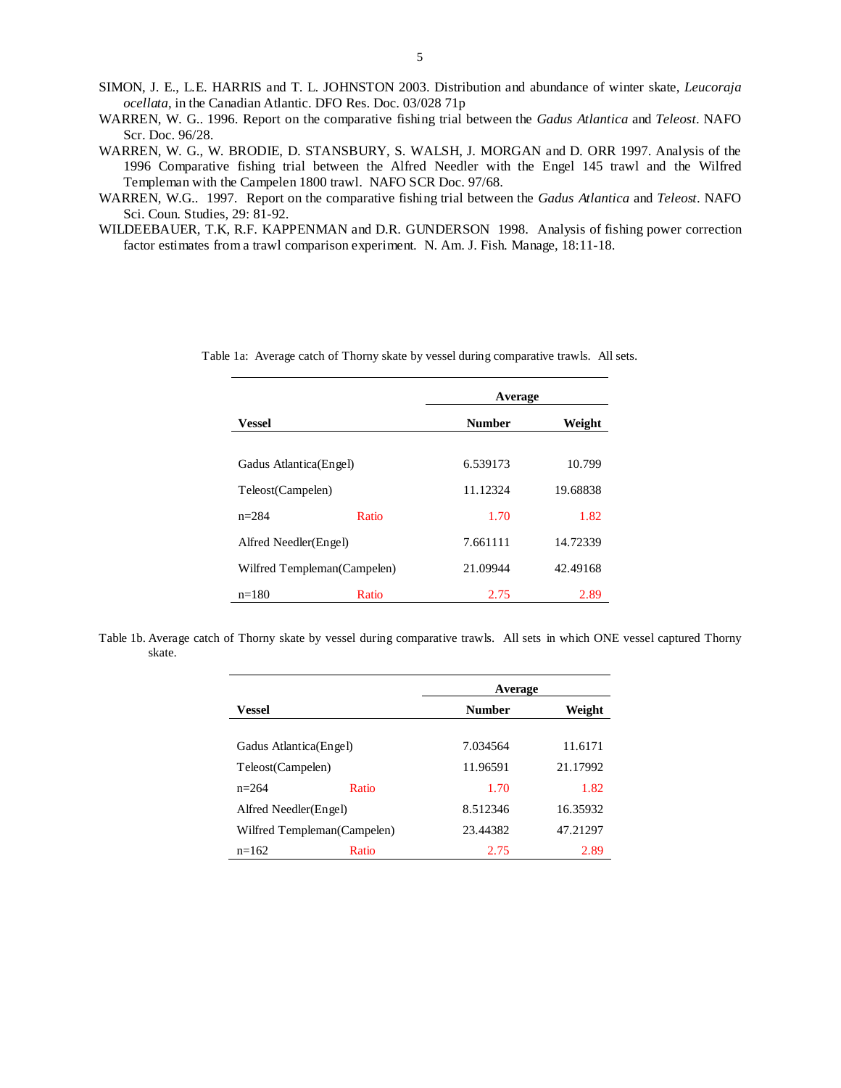- SIMON, J. E., L.E. HARRIS and T. L. JOHNSTON 2003. Distribution and abundance of winter skate, *Leucoraja ocellata*, in the Canadian Atlantic. DFO Res. Doc. 03/028 71p
- WARREN, W. G.. 1996. Report on the comparative fishing trial between the *Gadus Atlantica* and *Teleost*. NAFO Scr. Doc. 96/28.
- WARREN, W. G., W. BRODIE, D. STANSBURY, S. WALSH, J. MORGAN and D. ORR 1997. Analysis of the 1996 Comparative fishing trial between the Alfred Needler with the Engel 145 trawl and the Wilfred Templeman with the Campelen 1800 trawl. NAFO SCR Doc. 97/68.
- WARREN, W.G.. 1997. Report on the comparative fishing trial between the *Gadus Atlantica* and *Teleost*. NAFO Sci. Coun. Studies, 29: 81-92.
- WILDEEBAUER, T.K, R.F. KAPPENMAN and D.R. GUNDERSON 1998. Analysis of fishing power correction factor estimates from a trawl comparison experiment. N. Am. J. Fish. Manage, 18:11-18.

|                              |       | Average       |          |  |
|------------------------------|-------|---------------|----------|--|
| <b>Vessel</b>                |       | <b>Number</b> | Weight   |  |
|                              |       |               |          |  |
| Gadus Atlantica(Engel)       |       | 6.539173      | 10.799   |  |
| Teleost(Campelen)            |       | 11.12324      | 19.68838 |  |
| $n = 284$                    | Ratio | 1.70          | 1.82     |  |
| Alfred Needler(Engel)        |       | 7.661111      | 14.72339 |  |
| Wilfred Templeman (Campelen) |       | 21.09944      | 42.49168 |  |
| $n = 180$                    | Ratio | 2.75          | 2.89     |  |

Table 1a: Average catch of Thorny skate by vessel during comparative trawls. All sets.

Table 1b. Average catch of Thorny skate by vessel during comparative trawls. All sets in which ONE vessel captured Thorny skate.

|                             |       | Average       |          |  |
|-----------------------------|-------|---------------|----------|--|
| <b>Vessel</b>               |       | <b>Number</b> | Weight   |  |
| Gadus Atlantica(Engel)      |       | 7.034564      | 11.6171  |  |
| Teleost(Campelen)           |       | 11.96591      | 21.17992 |  |
| $n=264$                     | Ratio | 1.70          | 1.82     |  |
| Alfred Needler(Engel)       |       | 8.512346      | 16.35932 |  |
| Wilfred Templeman(Campelen) |       | 23.44382      | 47.21297 |  |
| $n=162$                     | Ratio | 2.75          | 2.89     |  |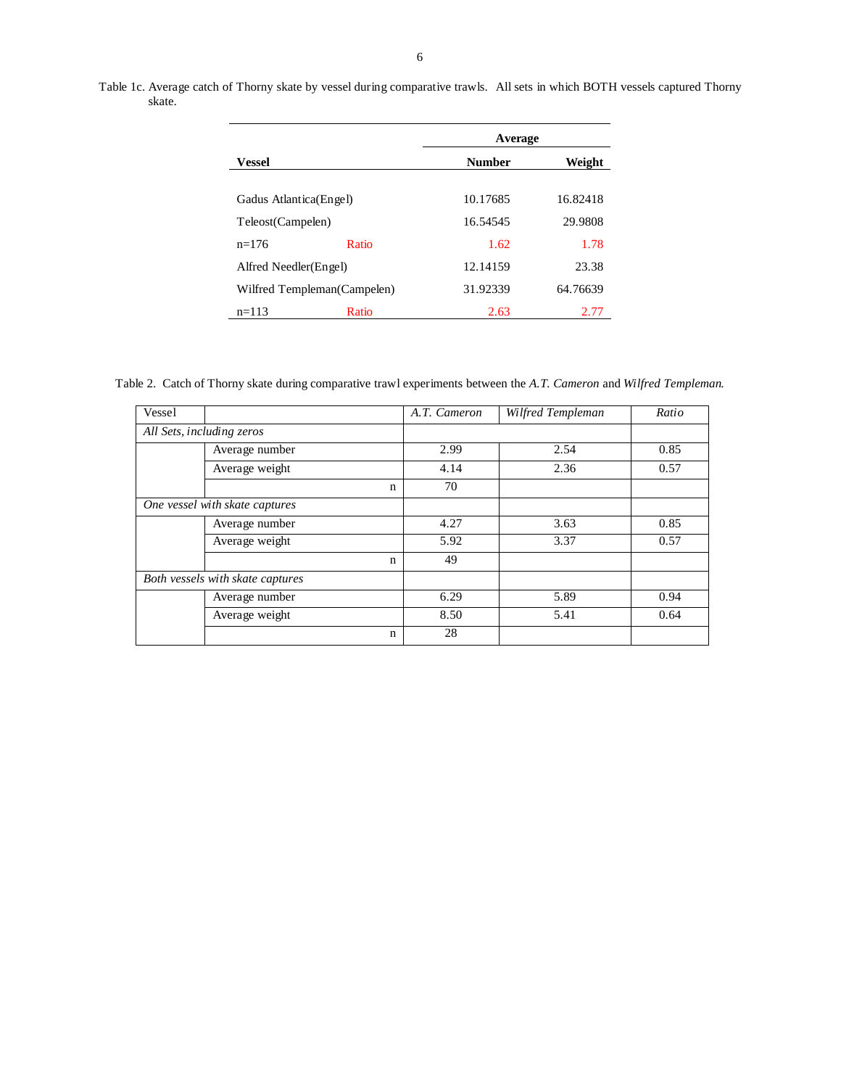Table 1c. Average catch of Thorny skate by vessel during comparative trawls. All sets in which BOTH vessels captured Thorny skate.

|                              | Average       |          |  |
|------------------------------|---------------|----------|--|
| Vessel                       | <b>Number</b> | Weight   |  |
| Gadus Atlantica(Engel)       | 10.17685      | 16.82418 |  |
| Teleost(Campelen)            | 16.54545      | 29.9808  |  |
| Ratio<br>$n=176$             | 1.62          | 1.78     |  |
| Alfred Needler(Engel)        | 12.14159      | 23.38    |  |
| Wilfred Templeman (Campelen) | 31.92339      | 64.76639 |  |
| Ratio<br>$n=113$             | 2.63          | 2.77     |  |

Table 2. Catch of Thorny skate during comparative trawl experiments between the *A.T. Cameron* and *Wilfred Templeman*.

| Vessel                           |                | A.T. Cameron | Wilfred Templeman | Ratio |
|----------------------------------|----------------|--------------|-------------------|-------|
| All Sets, including zeros        |                |              |                   |       |
|                                  | Average number | 2.99         | 2.54              | 0.85  |
|                                  | Average weight | 4.14         | 2.36              | 0.57  |
|                                  | $\mathbf n$    | 70           |                   |       |
| One vessel with skate captures   |                |              |                   |       |
|                                  | Average number | 4.27         | 3.63              | 0.85  |
|                                  | Average weight | 5.92         | 3.37              | 0.57  |
|                                  | n              | 49           |                   |       |
| Both vessels with skate captures |                |              |                   |       |
|                                  | Average number | 6.29         | 5.89              | 0.94  |
|                                  | Average weight | 8.50         | 5.41              | 0.64  |
|                                  | $\mathbf n$    | 28           |                   |       |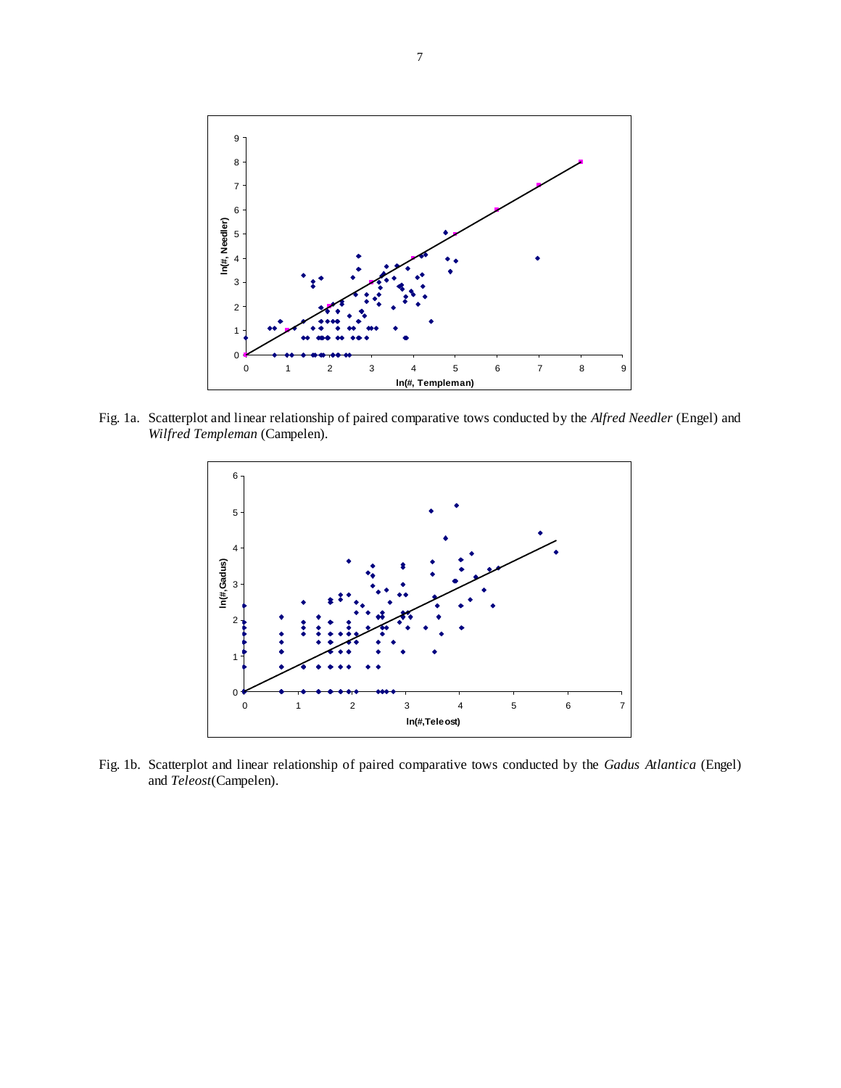

Fig. 1a. Scatterplot and linear relationship of paired comparative tows conducted by the *Alfred Needler* (Engel) and *Wilfred Templeman* (Campelen).



Fig. 1b. Scatterplot and linear relationship of paired comparative tows conducted by the *Gadus Atlantica* (Engel) and *Teleost*(Campelen).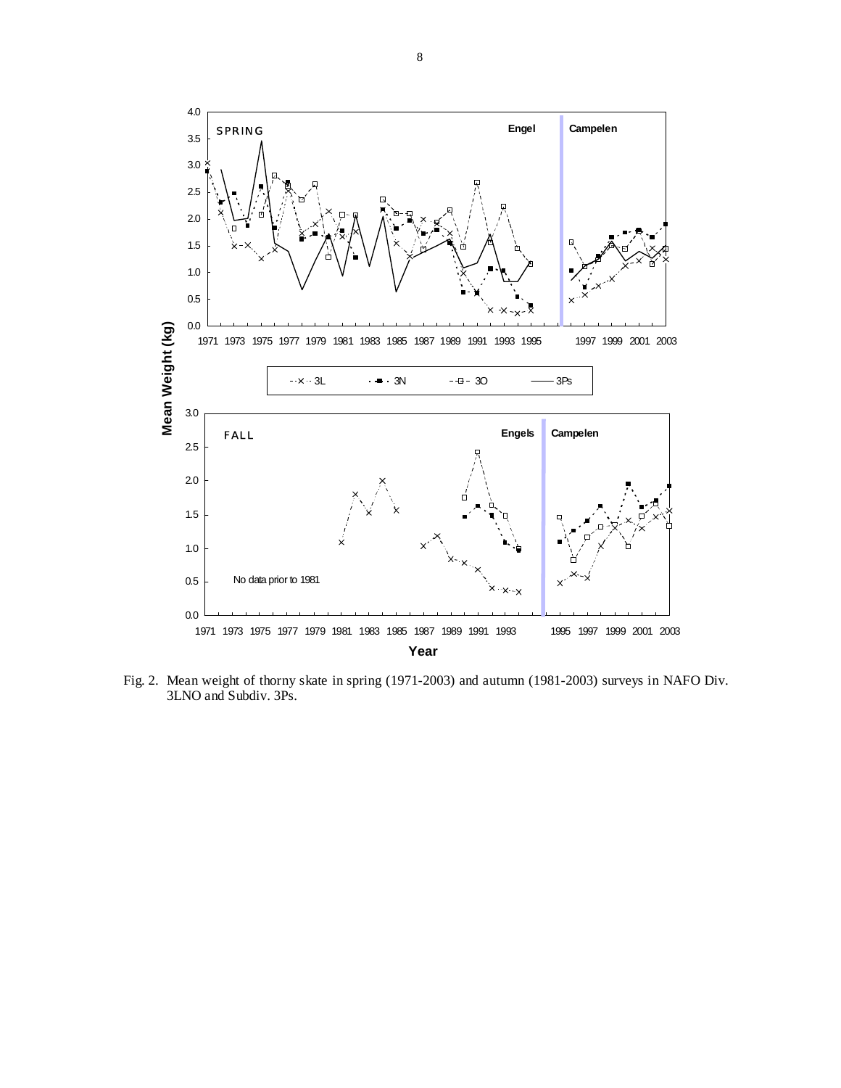

Fig. 2. Mean weight of thorny skate in spring (1971-2003) and autumn (1981-2003) surveys in NAFO Div. 3LNO and Subdiv. 3Ps.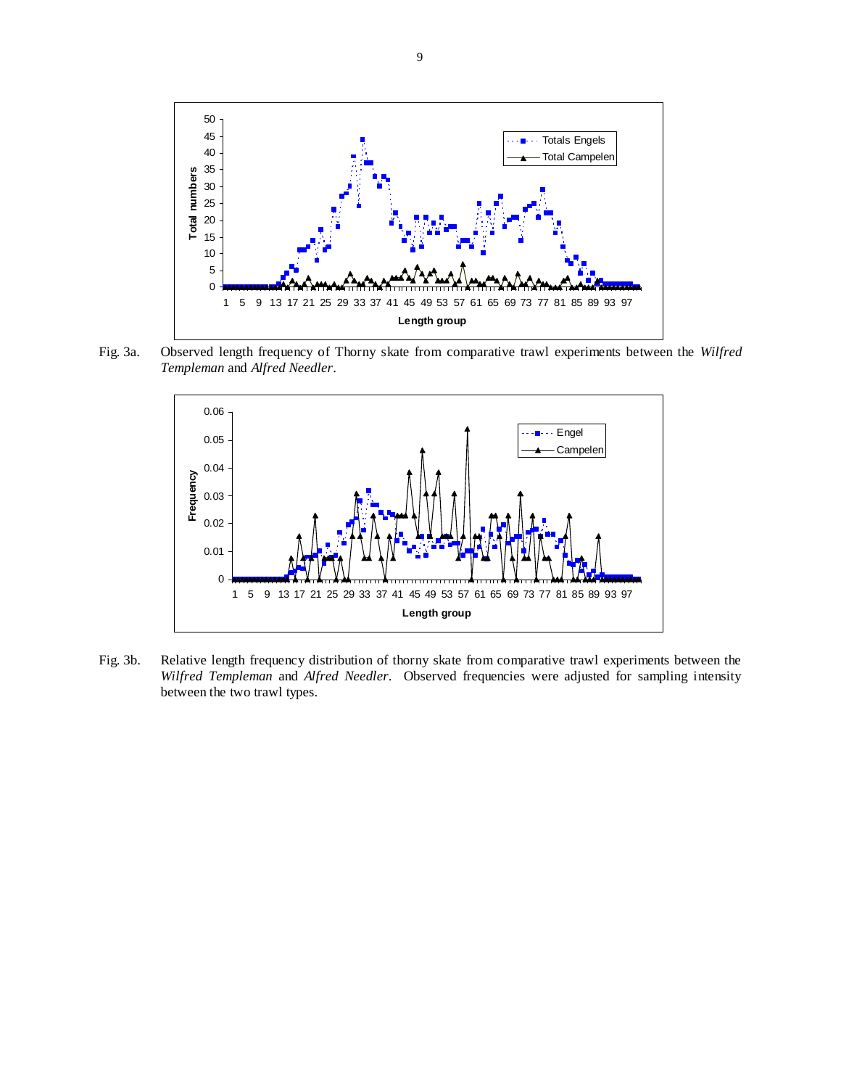

Fig. 3a. Observed length frequency of Thorny skate from comparative trawl experiments between the *Wilfred Templeman* and *Alfred Needler*.



Fig. 3b. Relative length frequency distribution of thorny skate from comparative trawl experiments between the *Wilfred Templeman* and *Alfred Needler*. Observed frequencies were adjusted for sampling intensity between the two trawl types.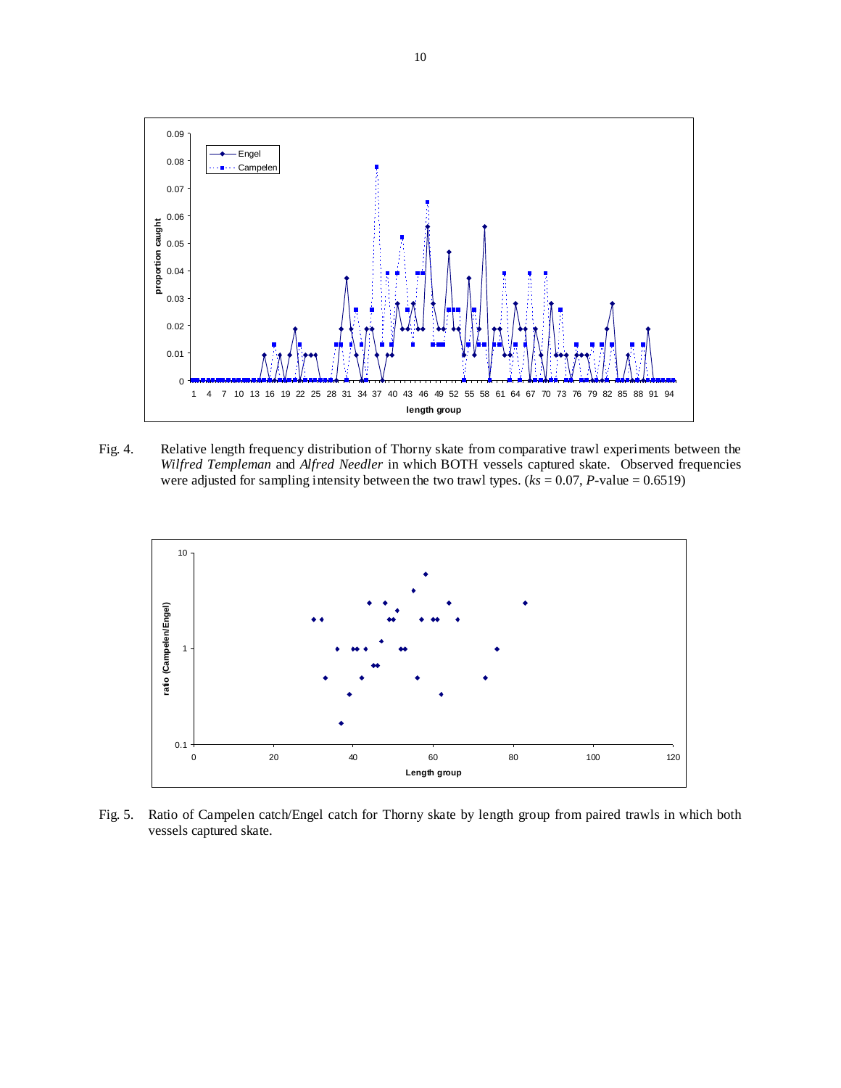

Fig. 4. Relative length frequency distribution of Thorny skate from comparative trawl experiments between the *Wilfred Templeman* and *Alfred Needler* in which BOTH vessels captured skate. Observed frequencies were adjusted for sampling intensity between the two trawl types.  $(ks = 0.07, P-value = 0.6519)$ 



Fig. 5. Ratio of Campelen catch/Engel catch for Thorny skate by length group from paired trawls in which both vessels captured skate.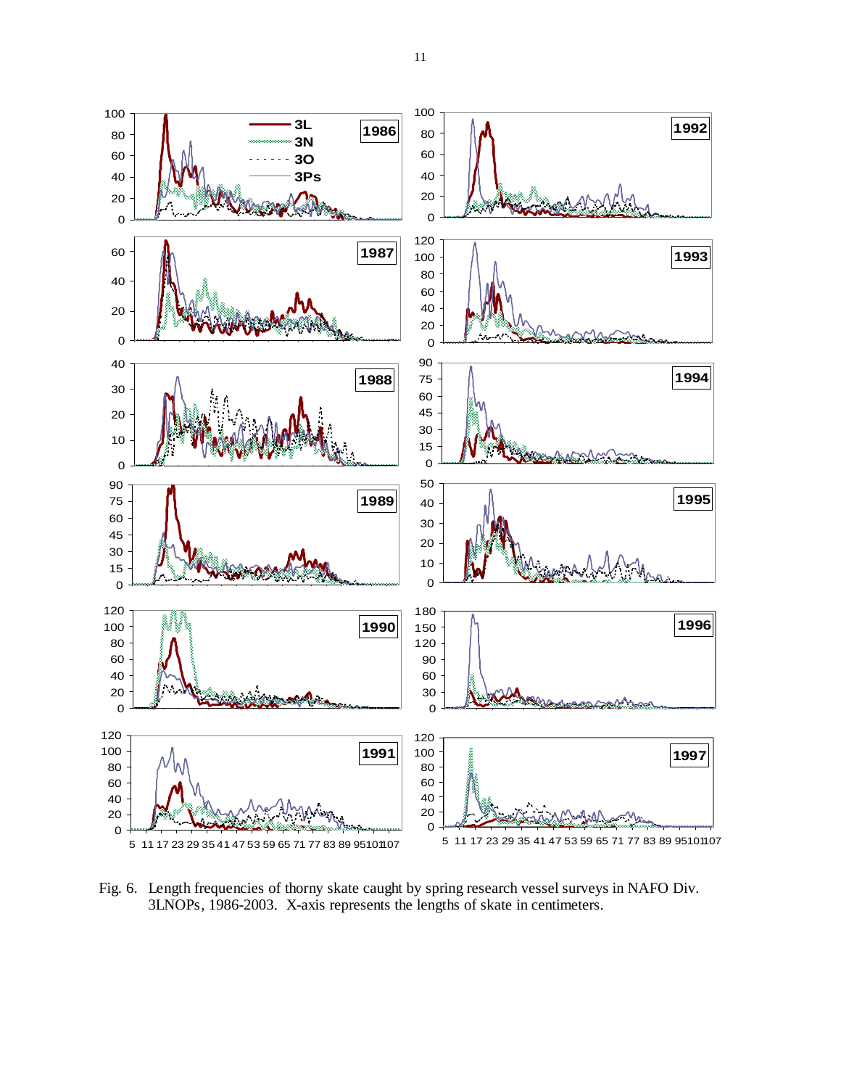

Fig. 6. Length frequencies of thorny skate caught by spring research vessel surveys in NAFO Div. 3LNOPs, 1986-2003. X-axis represents the lengths of skate in centimeters.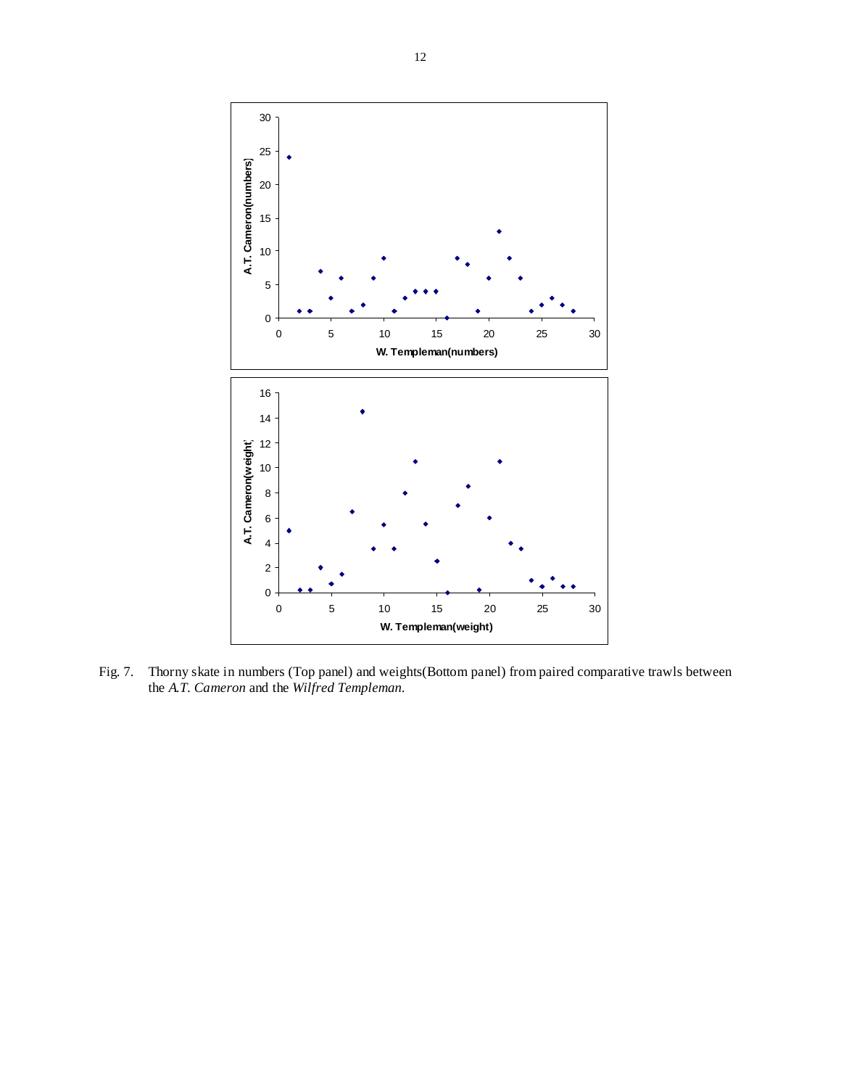

Fig. 7. Thorny skate in numbers (Top panel) and weights(Bottom panel) from paired comparative trawls between the *A.T. Cameron* and the *Wilfred Templeman*.